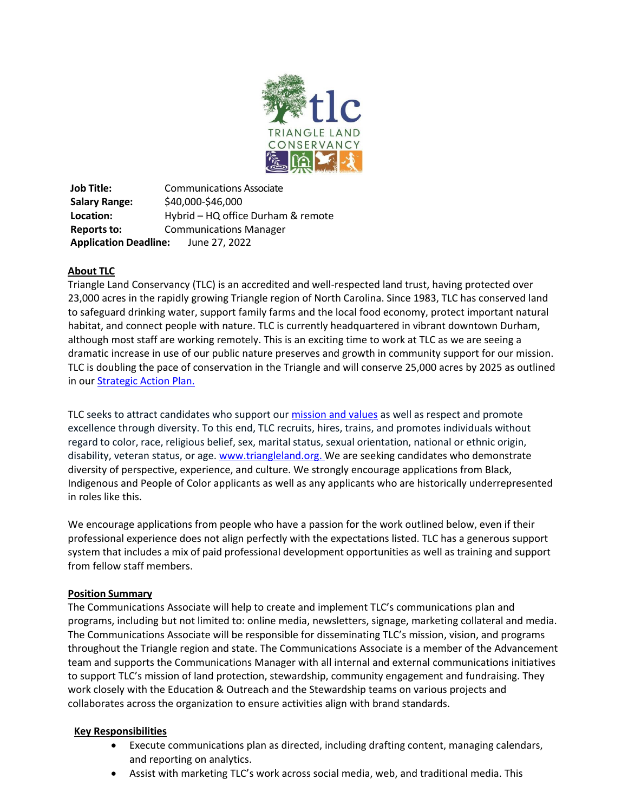

**Job Title:** Communications Associate **Salary Range:** \$40,000-\$46,000 **Location:** Hybrid – HQ office Durham & remote **Reports to:** Communications Manager **Application Deadline:** June 27, 2022

### **About TLC**

Triangle Land Conservancy (TLC) is an accredited and well-respected land trust, having protected over 23,000 acres in the rapidly growing Triangle region of North Carolina. Since 1983, TLC has conserved land to safeguard drinking water, support family farms and the local food economy, protect important natural habitat, and connect people with nature. TLC is currently headquartered in vibrant downtown Durham, although most staff are working remotely. This is an exciting time to work at TLC as we are seeing a dramatic increase in use of our public nature preserves and growth in community support for our mission. TLC is doubling the pace of conservation in the Triangle and will conserve 25,000 acres by 2025 as outlined in our [Strategic Action Plan.](https://issuu.com/triangleland/docs/tlc_2018_sap_web)

TLC seeks to attract candidates who support our *[mission and values](https://www.triangleland.org/about/mission-vision)* as well as respect and promote excellence through diversity. To this end, TLC recruits, hires, trains, and promotes individuals without regard to color, race, religious belief, sex, marital status, sexual orientation, national or ethnic origin, disability, veteran status, or age. [www.triangleland.org.](http://www.triangleland.org/) We are seeking candidates who demonstrate diversity of perspective, experience, and culture. We strongly encourage applications from Black, Indigenous and People of Color applicants as well as any applicants who are historically underrepresented in roles like this.

We encourage applications from people who have a passion for the work outlined below, even if their professional experience does not align perfectly with the expectations listed. TLC has a generous support system that includes a mix of paid professional development opportunities as well as training and support from fellow staff members.

### **Position Summary**

The Communications Associate will help to create and implement TLC's communications plan and programs, including but not limited to: online media, newsletters, signage, marketing collateral and media. The Communications Associate will be responsible for disseminating TLC's mission, vision, and programs throughout the Triangle region and state. The Communications Associate is a member of the Advancement team and supports the Communications Manager with all internal and external communications initiatives to support TLC's mission of land protection, stewardship, community engagement and fundraising. They work closely with the Education & Outreach and the Stewardship teams on various projects and collaborates across the organization to ensure activities align with brand standards.

### **Key Responsibilities**

- Execute communications plan as directed, including drafting content, managing calendars, and reporting on analytics.
- Assist with marketing TLC's work across social media, web, and traditional media. This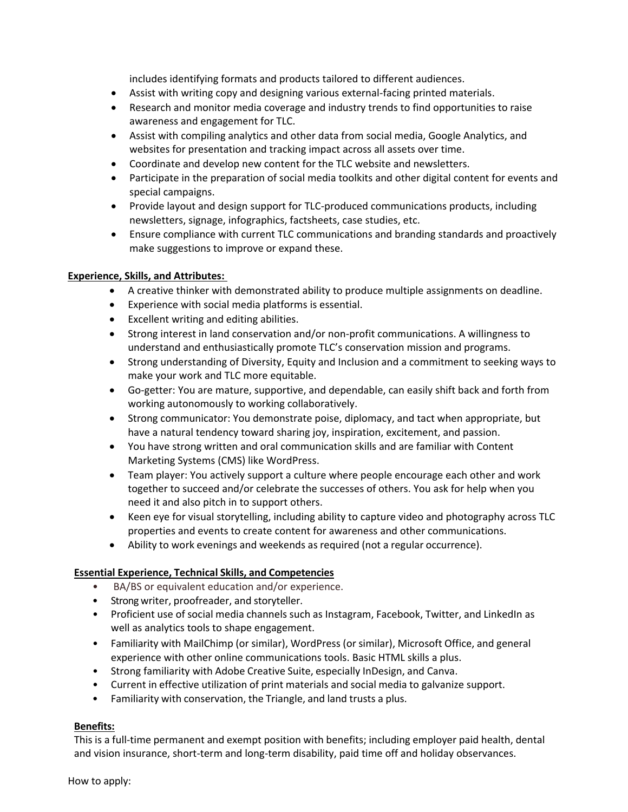includes identifying formats and products tailored to different audiences.

- Assist with writing copy and designing various external-facing printed materials.
- Research and monitor media coverage and industry trends to find opportunities to raise awareness and engagement for TLC.
- Assist with compiling analytics and other data from social media, Google Analytics, and websites for presentation and tracking impact across all assets over time.
- Coordinate and develop new content for the TLC website and newsletters.
- Participate in the preparation of social media toolkits and other digital content for events and special campaigns.
- Provide layout and design support for TLC-produced communications products, including newsletters, signage, infographics, factsheets, case studies, etc.
- Ensure compliance with current TLC communications and branding standards and proactively make suggestions to improve or expand these.

# **Experience, Skills, and Attributes:**

- A creative thinker with demonstrated ability to produce multiple assignments on deadline.
- Experience with social media platforms is essential.
- Excellent writing and editing abilities.
- Strong interest in land conservation and/or non-profit communications. A willingness to understand and enthusiastically promote TLC's conservation mission and programs.
- Strong understanding of Diversity, Equity and Inclusion and a commitment to seeking ways to make your work and TLC more equitable.
- Go-getter: You are mature, supportive, and dependable, can easily shift back and forth from working autonomously to working collaboratively.
- Strong communicator: You demonstrate poise, diplomacy, and tact when appropriate, but have a natural tendency toward sharing joy, inspiration, excitement, and passion.
- You have strong written and oral communication skills and are familiar with Content Marketing Systems (CMS) like WordPress.
- Team player: You actively support a culture where people encourage each other and work together to succeed and/or celebrate the successes of others. You ask for help when you need it and also pitch in to support others.
- Keen eye for visual storytelling, including ability to capture video and photography across TLC properties and events to create content for awareness and other communications.
- Ability to work evenings and weekends as required (not a regular occurrence).

# **Essential Experience, Technical Skills, and Competencies**

- BA/BS or equivalent education and/or experience.
- Strong writer, proofreader, and storyteller.
- Proficient use of social media channels such as Instagram, Facebook, Twitter, and LinkedIn as well as analytics tools to shape engagement.
- Familiarity with MailChimp (or similar), WordPress (or similar), Microsoft Office, and general experience with other online communications tools. Basic HTML skills a plus.
- Strong familiarity with Adobe Creative Suite, especially InDesign, and Canva.
- Current in effective utilization of print materials and social media to galvanize support.
- Familiarity with conservation, the Triangle, and land trusts a plus.

# **Benefits:**

This is a full-time permanent and exempt position with benefits; including employer paid health, dental and vision insurance, short-term and long-term disability, paid time off and holiday observances.